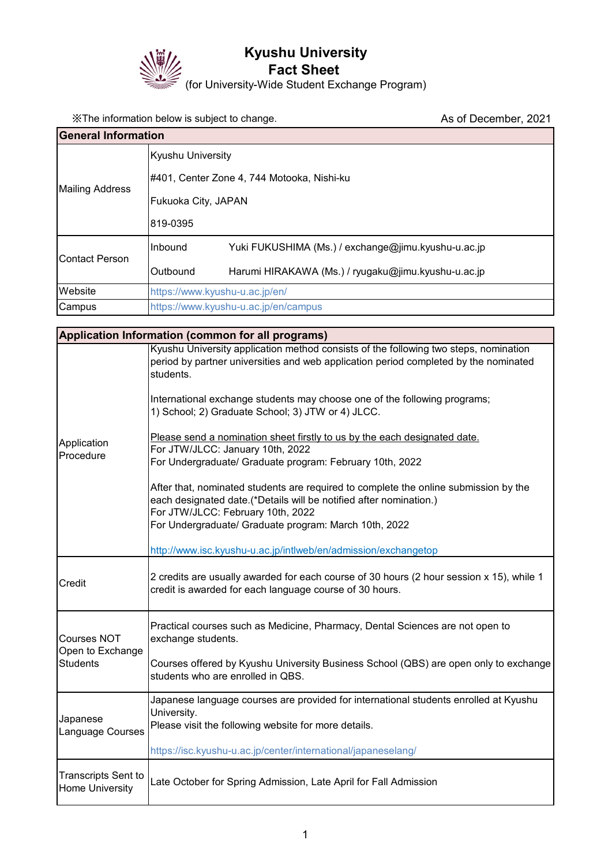

## **Kyushu University**

**Fact Sheet** 

(for University-Wide Student Exchange Program)

※The information below is subject to change. As of December, 2021

| <b>General Information</b> |                                            |                                                     |  |
|----------------------------|--------------------------------------------|-----------------------------------------------------|--|
| <b>Mailing Address</b>     | Kyushu University                          |                                                     |  |
|                            | #401, Center Zone 4, 744 Motooka, Nishi-ku |                                                     |  |
|                            | Fukuoka City, JAPAN                        |                                                     |  |
|                            | 819-0395                                   |                                                     |  |
| <b>Contact Person</b>      | Inbound                                    | Yuki FUKUSHIMA (Ms.) / exchange@jimu.kyushu-u.ac.jp |  |
|                            | Outbound                                   | Harumi HIRAKAWA (Ms.) / ryugaku@jimu.kyushu-u.ac.jp |  |
| Website                    | https://www.kyushu-u.ac.jp/en/             |                                                     |  |
| Campus                     | https://www.kyushu-u.ac.jp/en/campus       |                                                     |  |

| Application Information (common for all programs)         |                                                                                                                                                                                                 |  |
|-----------------------------------------------------------|-------------------------------------------------------------------------------------------------------------------------------------------------------------------------------------------------|--|
| Application<br>Procedure                                  | Kyushu University application method consists of the following two steps, nomination<br>period by partner universities and web application period completed by the nominated<br>students.       |  |
|                                                           | International exchange students may choose one of the following programs;<br>1) School; 2) Graduate School; 3) JTW or 4) JLCC.                                                                  |  |
|                                                           | Please send a nomination sheet firstly to us by the each designated date.<br>For JTW/JLCC: January 10th, 2022<br>For Undergraduate/ Graduate program: February 10th, 2022                       |  |
|                                                           | After that, nominated students are required to complete the online submission by the<br>each designated date.(*Details will be notified after nomination.)<br>For JTW/JLCC: February 10th, 2022 |  |
|                                                           | For Undergraduate/ Graduate program: March 10th, 2022                                                                                                                                           |  |
|                                                           | http://www.isc.kyushu-u.ac.jp/intlweb/en/admission/exchangetop                                                                                                                                  |  |
| Credit                                                    | 2 credits are usually awarded for each course of 30 hours (2 hour session x 15), while 1<br>credit is awarded for each language course of 30 hours.                                             |  |
| <b>Courses NOT</b><br>Open to Exchange<br><b>Students</b> | Practical courses such as Medicine, Pharmacy, Dental Sciences are not open to<br>exchange students.                                                                                             |  |
|                                                           | Courses offered by Kyushu University Business School (QBS) are open only to exchange<br>students who are enrolled in QBS.                                                                       |  |
| Japanese<br><b>Language Courses</b>                       | Japanese language courses are provided for international students enrolled at Kyushu<br>University.<br>Please visit the following website for more details.                                     |  |
|                                                           | https://isc.kyushu-u.ac.jp/center/international/japaneselang/                                                                                                                                   |  |
| <b>Transcripts Sent to</b><br>Home University             | Late October for Spring Admission, Late April for Fall Admission                                                                                                                                |  |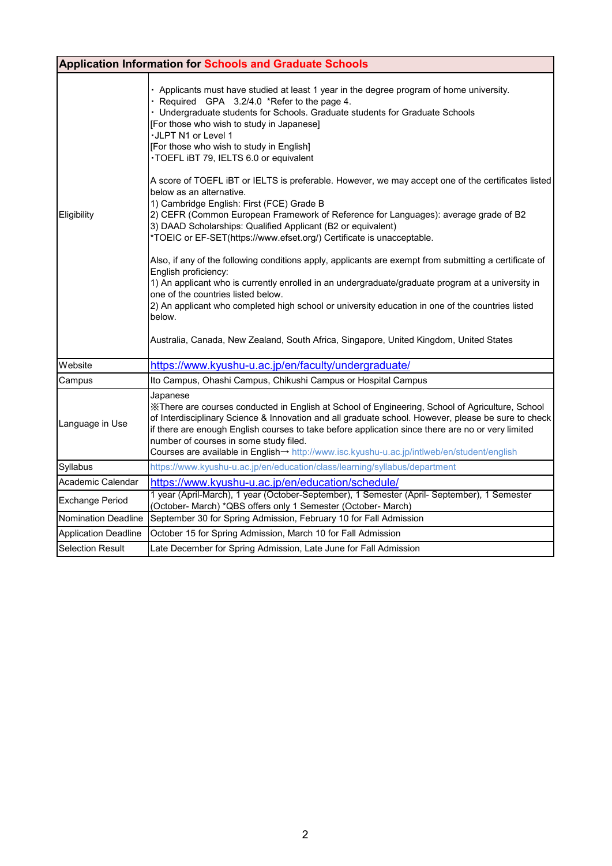| <b>Application Information for Schools and Graduate Schools</b> |                                                                                                                                                                                                                                                                                                                                                                                                                                                                                                                                                                                                                                                                                                                                                                                                                                                                                                                                                                                                                                                                                                                                                                                                                                                                                        |  |
|-----------------------------------------------------------------|----------------------------------------------------------------------------------------------------------------------------------------------------------------------------------------------------------------------------------------------------------------------------------------------------------------------------------------------------------------------------------------------------------------------------------------------------------------------------------------------------------------------------------------------------------------------------------------------------------------------------------------------------------------------------------------------------------------------------------------------------------------------------------------------------------------------------------------------------------------------------------------------------------------------------------------------------------------------------------------------------------------------------------------------------------------------------------------------------------------------------------------------------------------------------------------------------------------------------------------------------------------------------------------|--|
| Eligibility                                                     | • Applicants must have studied at least 1 year in the degree program of home university.<br>· Required GPA 3.2/4.0 *Refer to the page 4.<br>• Undergraduate students for Schools. Graduate students for Graduate Schools<br>[For those who wish to study in Japanese]<br>JLPT N1 or Level 1<br>[For those who wish to study in English]<br>· TOEFL IBT 79, IELTS 6.0 or equivalent<br>A score of TOEFL iBT or IELTS is preferable. However, we may accept one of the certificates listed<br>below as an alternative.<br>1) Cambridge English: First (FCE) Grade B<br>2) CEFR (Common European Framework of Reference for Languages): average grade of B2<br>3) DAAD Scholarships: Qualified Applicant (B2 or equivalent)<br>*TOEIC or EF-SET(https://www.efset.org/) Certificate is unacceptable.<br>Also, if any of the following conditions apply, applicants are exempt from submitting a certificate of<br>English proficiency:<br>1) An applicant who is currently enrolled in an undergraduate/graduate program at a university in<br>one of the countries listed below.<br>2) An applicant who completed high school or university education in one of the countries listed<br>below.<br>Australia, Canada, New Zealand, South Africa, Singapore, United Kingdom, United States |  |
| Website                                                         | https://www.kyushu-u.ac.jp/en/faculty/undergraduate/                                                                                                                                                                                                                                                                                                                                                                                                                                                                                                                                                                                                                                                                                                                                                                                                                                                                                                                                                                                                                                                                                                                                                                                                                                   |  |
| Campus                                                          | Ito Campus, Ohashi Campus, Chikushi Campus or Hospital Campus                                                                                                                                                                                                                                                                                                                                                                                                                                                                                                                                                                                                                                                                                                                                                                                                                                                                                                                                                                                                                                                                                                                                                                                                                          |  |
| Language in Use                                                 | Japanese<br>XThere are courses conducted in English at School of Engineering, School of Agriculture, School<br>of Interdisciplinary Science & Innovation and all graduate school. However, please be sure to check<br>if there are enough English courses to take before application since there are no or very limited<br>number of courses in some study filed.<br>Courses are available in English→ http://www.isc.kyushu-u.ac.jp/intlweb/en/student/english                                                                                                                                                                                                                                                                                                                                                                                                                                                                                                                                                                                                                                                                                                                                                                                                                        |  |
| Syllabus                                                        | https://www.kyushu-u.ac.jp/en/education/class/learning/syllabus/department                                                                                                                                                                                                                                                                                                                                                                                                                                                                                                                                                                                                                                                                                                                                                                                                                                                                                                                                                                                                                                                                                                                                                                                                             |  |
| Academic Calendar                                               | https://www.kyushu-u.ac.jp/en/education/schedule/                                                                                                                                                                                                                                                                                                                                                                                                                                                                                                                                                                                                                                                                                                                                                                                                                                                                                                                                                                                                                                                                                                                                                                                                                                      |  |
| <b>Exchange Period</b>                                          | 1 year (April-March), 1 year (October-September), 1 Semester (April- September), 1 Semester<br>(October- March) *QBS offers only 1 Semester (October- March)                                                                                                                                                                                                                                                                                                                                                                                                                                                                                                                                                                                                                                                                                                                                                                                                                                                                                                                                                                                                                                                                                                                           |  |
| <b>Nomination Deadline</b>                                      | September 30 for Spring Admission, February 10 for Fall Admission                                                                                                                                                                                                                                                                                                                                                                                                                                                                                                                                                                                                                                                                                                                                                                                                                                                                                                                                                                                                                                                                                                                                                                                                                      |  |
| <b>Application Deadline</b>                                     | October 15 for Spring Admission, March 10 for Fall Admission                                                                                                                                                                                                                                                                                                                                                                                                                                                                                                                                                                                                                                                                                                                                                                                                                                                                                                                                                                                                                                                                                                                                                                                                                           |  |
| <b>Selection Result</b>                                         | Late December for Spring Admission, Late June for Fall Admission                                                                                                                                                                                                                                                                                                                                                                                                                                                                                                                                                                                                                                                                                                                                                                                                                                                                                                                                                                                                                                                                                                                                                                                                                       |  |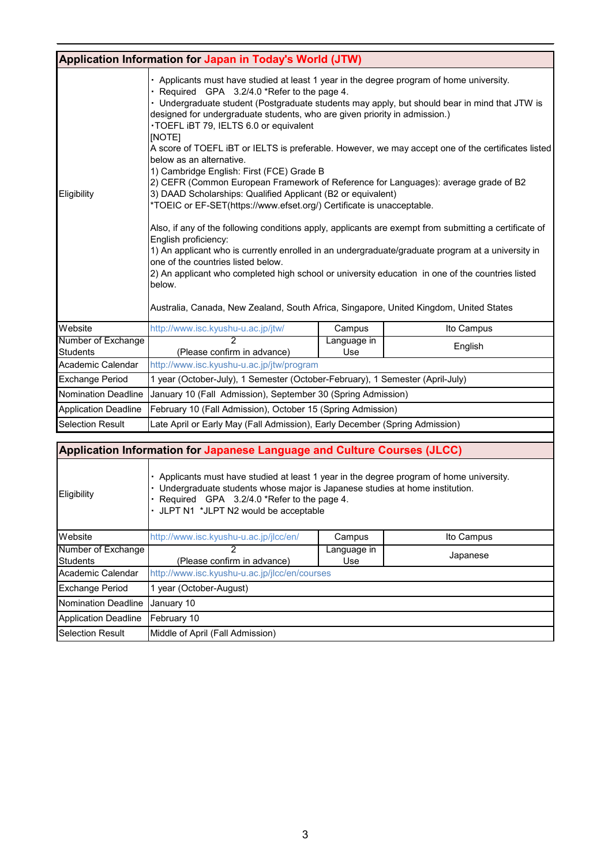|                                       | Application Information for Japan in Today's World (JTW)                                                                                                                                                                                                                                                                                                                                                                                                                                                                                                                                                                                                                                                                                                                                                                                                                                                                                                                                                                                                                                                                                                                               |                    |            |
|---------------------------------------|----------------------------------------------------------------------------------------------------------------------------------------------------------------------------------------------------------------------------------------------------------------------------------------------------------------------------------------------------------------------------------------------------------------------------------------------------------------------------------------------------------------------------------------------------------------------------------------------------------------------------------------------------------------------------------------------------------------------------------------------------------------------------------------------------------------------------------------------------------------------------------------------------------------------------------------------------------------------------------------------------------------------------------------------------------------------------------------------------------------------------------------------------------------------------------------|--------------------|------------|
| Eligibility                           | · Applicants must have studied at least 1 year in the degree program of home university.<br>· Required GPA 3.2/4.0 *Refer to the page 4.<br>· Undergraduate student (Postgraduate students may apply, but should bear in mind that JTW is<br>designed for undergraduate students, who are given priority in admission.)<br>· TOEFL IBT 79, IELTS 6.0 or equivalent<br>[NOTE]<br>A score of TOEFL IBT or IELTS is preferable. However, we may accept one of the certificates listed<br>below as an alternative.<br>1) Cambridge English: First (FCE) Grade B<br>2) CEFR (Common European Framework of Reference for Languages): average grade of B2<br>3) DAAD Scholarships: Qualified Applicant (B2 or equivalent)<br>*TOEIC or EF-SET(https://www.efset.org/) Certificate is unacceptable.<br>Also, if any of the following conditions apply, applicants are exempt from submitting a certificate of<br>English proficiency:<br>1) An applicant who is currently enrolled in an undergraduate/graduate program at a university in<br>one of the countries listed below.<br>2) An applicant who completed high school or university education in one of the countries listed<br>below. |                    |            |
| Website                               | http://www.isc.kyushu-u.ac.jp/jtw/                                                                                                                                                                                                                                                                                                                                                                                                                                                                                                                                                                                                                                                                                                                                                                                                                                                                                                                                                                                                                                                                                                                                                     | Campus             | Ito Campus |
| Number of Exchange<br><b>Students</b> | ヮ<br>(Please confirm in advance)                                                                                                                                                                                                                                                                                                                                                                                                                                                                                                                                                                                                                                                                                                                                                                                                                                                                                                                                                                                                                                                                                                                                                       | Language in<br>Use | English    |
| Academic Calendar                     | http://www.isc.kyushu-u.ac.jp/jtw/program                                                                                                                                                                                                                                                                                                                                                                                                                                                                                                                                                                                                                                                                                                                                                                                                                                                                                                                                                                                                                                                                                                                                              |                    |            |
| <b>Exchange Period</b>                | 1 year (October-July), 1 Semester (October-February), 1 Semester (April-July)                                                                                                                                                                                                                                                                                                                                                                                                                                                                                                                                                                                                                                                                                                                                                                                                                                                                                                                                                                                                                                                                                                          |                    |            |
| <b>Nomination Deadline</b>            | January 10 (Fall Admission), September 30 (Spring Admission)                                                                                                                                                                                                                                                                                                                                                                                                                                                                                                                                                                                                                                                                                                                                                                                                                                                                                                                                                                                                                                                                                                                           |                    |            |
| <b>Application Deadline</b>           | February 10 (Fall Admission), October 15 (Spring Admission)                                                                                                                                                                                                                                                                                                                                                                                                                                                                                                                                                                                                                                                                                                                                                                                                                                                                                                                                                                                                                                                                                                                            |                    |            |
| <b>Selection Result</b>               | Late April or Early May (Fall Admission), Early December (Spring Admission)                                                                                                                                                                                                                                                                                                                                                                                                                                                                                                                                                                                                                                                                                                                                                                                                                                                                                                                                                                                                                                                                                                            |                    |            |
|                                       |                                                                                                                                                                                                                                                                                                                                                                                                                                                                                                                                                                                                                                                                                                                                                                                                                                                                                                                                                                                                                                                                                                                                                                                        |                    |            |

| <b>Application Information for Japanese Language and Culture Courses (JLCC)</b> |                                                                                                                                                                                                                                                             |                    |            |
|---------------------------------------------------------------------------------|-------------------------------------------------------------------------------------------------------------------------------------------------------------------------------------------------------------------------------------------------------------|--------------------|------------|
| Eligibility                                                                     | Applicants must have studied at least 1 year in the degree program of home university.<br>Undergraduate students whose major is Japanese studies at home institution.<br>Required GPA 3.2/4.0 *Refer to the page 4.<br>JLPT N1 *JLPT N2 would be acceptable |                    |            |
| Website                                                                         | http://www.isc.kyushu-u.ac.jp/jlcc/en/                                                                                                                                                                                                                      | Campus             | Ito Campus |
| Number of Exchange<br><b>Students</b>                                           | 2<br>(Please confirm in advance)                                                                                                                                                                                                                            | Language in<br>Use | Japanese   |
| Academic Calendar                                                               | http://www.isc.kyushu-u.ac.jp/jlcc/en/courses                                                                                                                                                                                                               |                    |            |
| <b>Exchange Period</b>                                                          | 1 year (October-August)                                                                                                                                                                                                                                     |                    |            |
| Nomination Deadline                                                             | January 10                                                                                                                                                                                                                                                  |                    |            |
| <b>Application Deadline</b>                                                     | February 10                                                                                                                                                                                                                                                 |                    |            |
| <b>Selection Result</b>                                                         | Middle of April (Fall Admission)                                                                                                                                                                                                                            |                    |            |